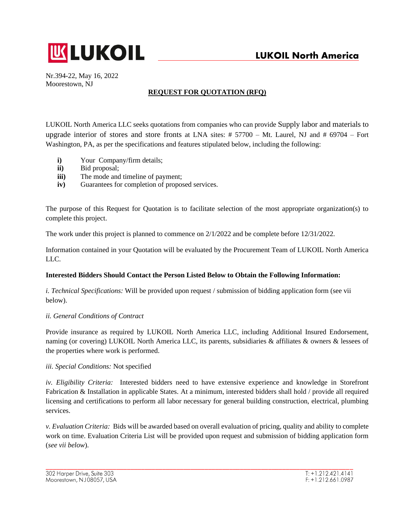

Nr.394-22, May 16, 2022 Moorestown, NJ

# **REQUEST FOR QUOTATION (RFQ)**

LUKOIL North America LLC seeks quotations from companies who can provide Supply labor and materials to upgrade interior of stores and store fronts at LNA sites: # 57700 – Mt. Laurel, NJ and # 69704 – Fort Washington, PA, as per the specifications and features stipulated below, including the following:

- **i)** Your Company/firm details;
- **ii)** Bid proposal;
- **iii)** The mode and timeline of payment;
- **iv)** Guarantees for completion of proposed services.

The purpose of this Request for Quotation is to facilitate selection of the most appropriate organization(s) to complete this project.

The work under this project is planned to commence on 2/1/2022 and be complete before 12/31/2022.

Information contained in your Quotation will be evaluated by the Procurement Team of LUKOIL North America LLC.

# **Interested Bidders Should Contact the Person Listed Below to Obtain the Following Information:**

*i. Technical Specifications:* Will be provided upon request / submission of bidding application form (see vii below).

### *ii. General Conditions of Contract*

Provide insurance as required by LUKOIL North America LLC, including Additional Insured Endorsement, naming (or covering) LUKOIL North America LLC, its parents, subsidiaries & affiliates & owners & lessees of the properties where work is performed.

### *iii. Special Conditions:* Not specified

*iv. Eligibility Criteria:* Interested bidders need to have extensive experience and knowledge in Storefront Fabrication & Installation in applicable States. At a minimum, interested bidders shall hold / provide all required licensing and certifications to perform all labor necessary for general building construction, electrical, plumbing services.

*v. Evaluation Criteria:* Bids will be awarded based on overall evaluation of pricing, quality and ability to complete work on time. Evaluation Criteria List will be provided upon request and submission of bidding application form (*see vii below*).